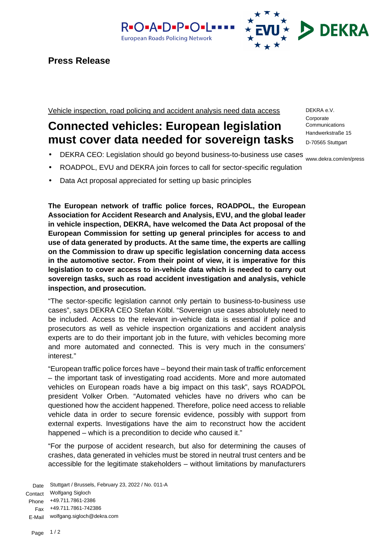



## **Press Release**

Vehicle inspection, road policing and accident analysis need data access

## **Connected vehicles: European legislation must cover data needed for sovereign tasks**

**Corporate Communications** Handwerkstraße 15 D-70565 Stuttgart

DEKRA e.V.

- DEKRA CEO: Legislation should go beyond business-to-business use cases www.dekra.com/en/press
- ROADPOL, EVU and DEKRA join forces to call for sector-specific regulation
- Data Act proposal appreciated for setting up basic principles

**The European network of traffic police forces, ROADPOL, the European Association for Accident Research and Analysis, EVU, and the global leader in vehicle inspection, DEKRA, have welcomed the Data Act proposal of the European Commission for setting up general principles for access to and use of data generated by products. At the same time, the experts are calling on the Commission to draw up specific legislation concerning data access in the automotive sector. From their point of view, it is imperative for this legislation to cover access to in-vehicle data which is needed to carry out sovereign tasks, such as road accident investigation and analysis, vehicle inspection, and prosecution.**

"The sector-specific legislation cannot only pertain to business-to-business use cases", says DEKRA CEO Stefan Kölbl. "Sovereign use cases absolutely need to be included. Access to the relevant in-vehicle data is essential if police and prosecutors as well as vehicle inspection organizations and accident analysis experts are to do their important job in the future, with vehicles becoming more and more automated and connected. This is very much in the consumers' interest."

"European traffic police forces have – beyond their main task of traffic enforcement – the important task of investigating road accidents. More and more automated vehicles on European roads have a big impact on this task", says ROADPOL president Volker Orben. "Automated vehicles have no drivers who can be questioned how the accident happened. Therefore, police need access to reliable vehicle data in order to secure forensic evidence, possibly with support from external experts. Investigations have the aim to reconstruct how the accident happened – which is a precondition to decide who caused it."

"For the purpose of accident research, but also for determining the causes of crashes, data generated in vehicles must be stored in neutral trust centers and be accessible for the legitimate stakeholders – without limitations by manufacturers

Date Stuttgart / Brussels, February 23, 2022 / No. 011-A Contact Wolfgang Sigloch Phone Fax +49.711.7861-742386 E-Mail wolfgang.sigloch@dekra.com +49.711.7861-2386

Page 1 / 2